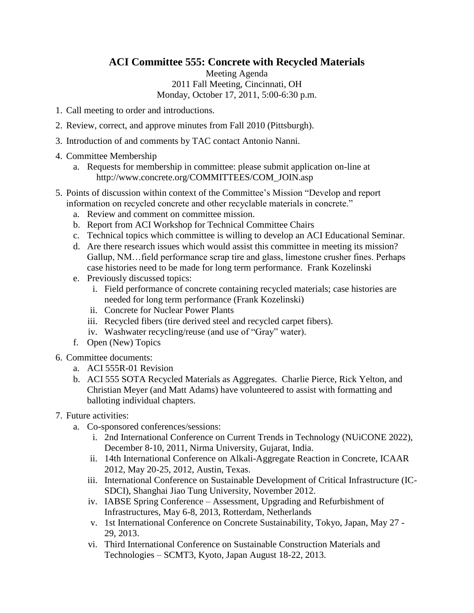## **ACI Committee 555: Concrete with Recycled Materials**

Meeting Agenda 2011 Fall Meeting, Cincinnati, OH Monday, October 17, 2011, 5:00-6:30 p.m.

- 1. Call meeting to order and introductions.
- 2. Review, correct, and approve minutes from Fall 2010 (Pittsburgh).
- 3. Introduction of and comments by TAC contact Antonio Nanni.
- 4. Committee Membership
	- a. Requests for membership in committee: please submit application on-line at http://www.concrete.org/COMMITTEES/COM\_JOIN.asp
- 5. Points of discussion within context of the Committee's Mission "Develop and report information on recycled concrete and other recyclable materials in concrete."
	- a. Review and comment on committee mission.
	- b. Report from ACI Workshop for Technical Committee Chairs
	- c. Technical topics which committee is willing to develop an ACI Educational Seminar.
	- d. Are there research issues which would assist this committee in meeting its mission? Gallup, NM…field performance scrap tire and glass, limestone crusher fines. Perhaps case histories need to be made for long term performance. Frank Kozelinski
	- e. Previously discussed topics:
		- i. Field performance of concrete containing recycled materials; case histories are needed for long term performance (Frank Kozelinski)
		- ii. Concrete for Nuclear Power Plants
		- iii. Recycled fibers (tire derived steel and recycled carpet fibers).
		- iv. Washwater recycling/reuse (and use of "Gray" water).
	- f. Open (New) Topics
- 6. Committee documents:
	- a. ACI 555R-01 Revision
	- b. ACI 555 SOTA Recycled Materials as Aggregates. Charlie Pierce, Rick Yelton, and Christian Meyer (and Matt Adams) have volunteered to assist with formatting and balloting individual chapters.
- 7. Future activities:
	- a. Co-sponsored conferences/sessions:
		- i. 2nd International Conference on Current Trends in Technology (NUiCONE 2022), December 8‐10, 2011, Nirma University, Gujarat, India.
		- ii. 14th International Conference on Alkali-Aggregate Reaction in Concrete, ICAAR 2012, May 20-25, 2012, Austin, Texas.
		- iii. International Conference on Sustainable Development of Critical Infrastructure (IC-SDCI), Shanghai Jiao Tung University, November 2012.
		- iv. IABSE Spring Conference Assessment, Upgrading and Refurbishment of Infrastructures, May 6-8, 2013, Rotterdam, Netherlands
		- v. 1st International Conference on Concrete Sustainability, Tokyo, Japan, May 27 29, 2013.
		- vi. Third International Conference on Sustainable Construction Materials and Technologies – SCMT3, Kyoto, Japan August 18-22, 2013.